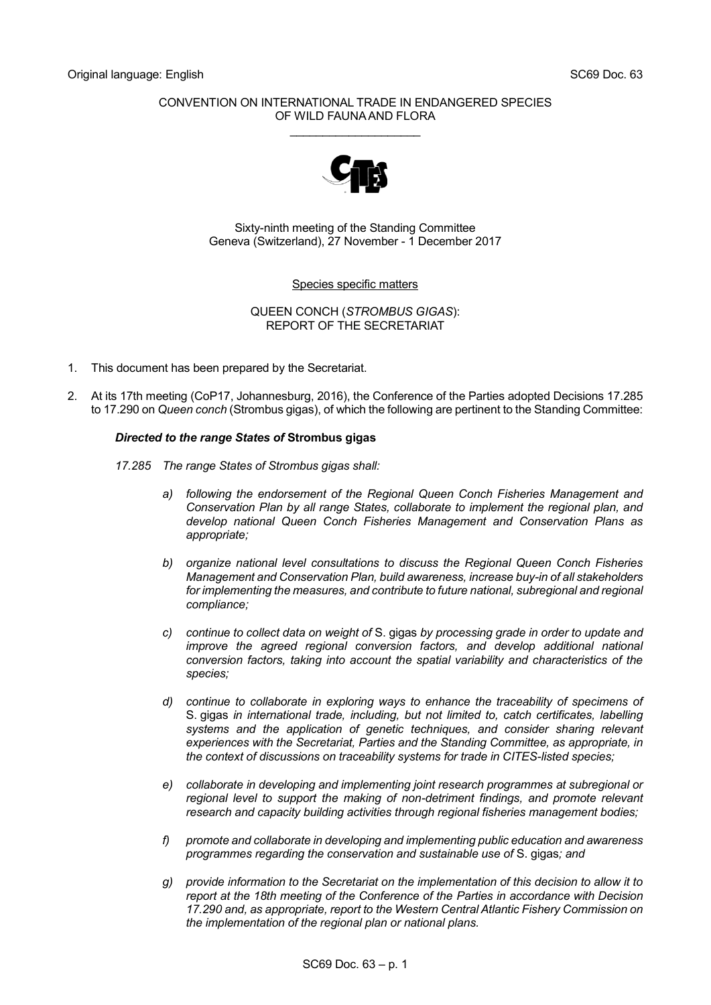# CONVENTION ON INTERNATIONAL TRADE IN ENDANGERED SPECIES OF WILD FAUNA AND FLORA \_\_\_\_\_\_\_\_\_\_\_\_\_\_\_\_\_\_\_\_



Sixty-ninth meeting of the Standing Committee Geneva (Switzerland), 27 November - 1 December 2017

# Species specific matters

QUEEN CONCH (*STROMBUS GIGAS*): REPORT OF THE SECRETARIAT

- 1. This document has been prepared by the Secretariat.
- 2. At its 17th meeting (CoP17, Johannesburg, 2016), the Conference of the Parties adopted Decisions 17.285 to 17.290 on *Queen conch* (Strombus gigas), of which the following are pertinent to the Standing Committee:

# *Directed to the range States of* **Strombus gigas**

- *17.285 The range States of Strombus gigas shall:*
	- *a) following the endorsement of the Regional Queen Conch Fisheries Management and Conservation Plan by all range States, collaborate to implement the regional plan, and develop national Queen Conch Fisheries Management and Conservation Plans as appropriate;*
	- *b) organize national level consultations to discuss the Regional Queen Conch Fisheries Management and Conservation Plan, build awareness, increase buy-in of all stakeholders*  for implementing the measures, and contribute to future national, subregional and regional *compliance;*
	- *c) continue to collect data on weight of* S. gigas *by processing grade in order to update and improve the agreed regional conversion factors, and develop additional national conversion factors, taking into account the spatial variability and characteristics of the species;*
	- *d) continue to collaborate in exploring ways to enhance the traceability of specimens of*  S. gigas *in international trade, including, but not limited to, catch certificates, labelling systems and the application of genetic techniques, and consider sharing relevant experiences with the Secretariat, Parties and the Standing Committee, as appropriate, in the context of discussions on traceability systems for trade in CITES-listed species;*
	- *e) collaborate in developing and implementing joint research programmes at subregional or regional level to support the making of non-detriment findings, and promote relevant research and capacity building activities through regional fisheries management bodies;*
	- *f) promote and collaborate in developing and implementing public education and awareness programmes regarding the conservation and sustainable use of* S. gigas*; and*
	- *g) provide information to the Secretariat on the implementation of this decision to allow it to report at the 18th meeting of the Conference of the Parties in accordance with Decision 17.290 and, as appropriate, report to the Western Central Atlantic Fishery Commission on the implementation of the regional plan or national plans.*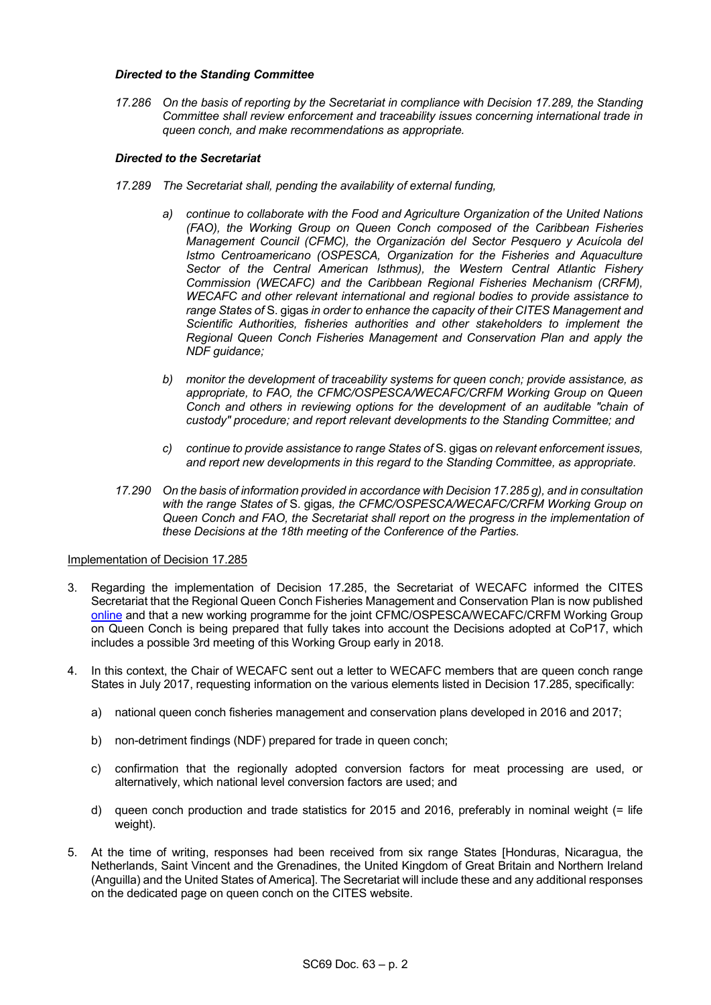### *Directed to the Standing Committee*

*17.286 On the basis of reporting by the Secretariat in compliance with Decision 17.289, the Standing Committee shall review enforcement and traceability issues concerning international trade in queen conch, and make recommendations as appropriate.* 

#### *Directed to the Secretariat*

- *17.289 The Secretariat shall, pending the availability of external funding,*
	- *a) continue to collaborate with the Food and Agriculture Organization of the United Nations (FAO), the Working Group on Queen Conch composed of the Caribbean Fisheries Management Council (CFMC), the Organización del Sector Pesquero y Acuícola del Istmo Centroamericano (OSPESCA, Organization for the Fisheries and Aquaculture Sector of the Central American Isthmus), the Western Central Atlantic Fishery Commission (WECAFC) and the Caribbean Regional Fisheries Mechanism (CRFM), WECAFC and other relevant international and regional bodies to provide assistance to range States of* S. gigas *in order to enhance the capacity of their CITES Management and Scientific Authorities, fisheries authorities and other stakeholders to implement the Regional Queen Conch Fisheries Management and Conservation Plan and apply the NDF guidance;*
	- *b) monitor the development of traceability systems for queen conch; provide assistance, as appropriate, to FAO, the CFMC/OSPESCA/WECAFC/CRFM Working Group on Queen Conch and others in reviewing options for the development of an auditable "chain of custody" procedure; and report relevant developments to the Standing Committee; and*
	- *c) continue to provide assistance to range States of* S. gigas *on relevant enforcement issues, and report new developments in this regard to the Standing Committee, as appropriate.*
- *17.290 On the basis of information provided in accordance with Decision 17.285 g), and in consultation with the range States of* S. gigas*, the CFMC/OSPESCA/WECAFC/CRFM Working Group on Queen Conch and FAO, the Secretariat shall report on the progress in the implementation of these Decisions at the 18th meeting of the Conference of the Parties.*

### Implementation of Decision 17.285

- 3. Regarding the implementation of Decision 17.285, the Secretariat of WECAFC informed the CITES Secretariat that the Regional Queen Conch Fisheries Management and Conservation Plan is now published [online](http://www.fao.org/3/a-i7818e.pdf) and that a new working programme for the joint CFMC/OSPESCA/WECAFC/CRFM Working Group on Queen Conch is being prepared that fully takes into account the Decisions adopted at CoP17, which includes a possible 3rd meeting of this Working Group early in 2018.
- 4. In this context, the Chair of WECAFC sent out a letter to WECAFC members that are queen conch range States in July 2017, requesting information on the various elements listed in Decision 17.285, specifically:
	- a) national queen conch fisheries management and conservation plans developed in 2016 and 2017;
	- b) non-detriment findings (NDF) prepared for trade in queen conch;
	- c) confirmation that the regionally adopted conversion factors for meat processing are used, or alternatively, which national level conversion factors are used; and
	- d) queen conch production and trade statistics for 2015 and 2016, preferably in nominal weight (= life weight).
- 5. At the time of writing, responses had been received from six range States [Honduras, Nicaragua, the Netherlands, Saint Vincent and the Grenadines, the United Kingdom of Great Britain and Northern Ireland (Anguilla) and the United States of America]. The Secretariat will include these and any additional responses on the dedicated page on queen conch on the CITES website.